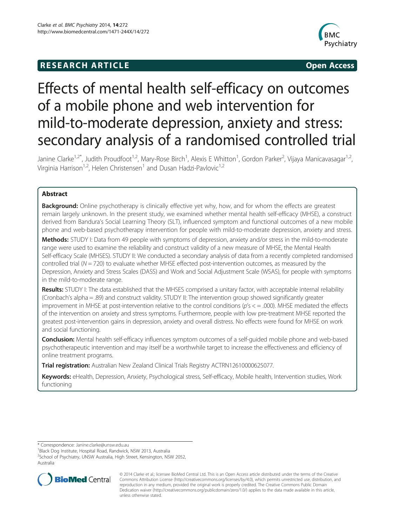# **RESEARCH ARTICLE CONSUMING A RESEARCH ARTICLE**



# Effects of mental health self-efficacy on outcomes of a mobile phone and web intervention for mild-to-moderate depression, anxiety and stress: secondary analysis of a randomised controlled trial

Janine Clarke<sup>1,2\*</sup>, Judith Proudfoot<sup>1,2</sup>, Mary-Rose Birch<sup>1</sup>, Alexis E Whitton<sup>1</sup>, Gordon Parker<sup>2</sup>, Vijaya Manicavasagar<sup>1,2</sup>, Virginia Harrison<sup>1,2</sup>, Helen Christensen<sup>1</sup> and Dusan Hadzi-Pavlovic<sup>1,2</sup>

# Abstract

Background: Online psychotherapy is clinically effective yet why, how, and for whom the effects are greatest remain largely unknown. In the present study, we examined whether mental health self-efficacy (MHSE), a construct derived from Bandura's Social Learning Theory (SLT), influenced symptom and functional outcomes of a new mobile phone and web-based psychotherapy intervention for people with mild-to-moderate depression, anxiety and stress.

Methods: STUDY I: Data from 49 people with symptoms of depression, anxiety and/or stress in the mild-to-moderate range were used to examine the reliability and construct validity of a new measure of MHSE, the Mental Health Self-efficacy Scale (MHSES). STUDY II: We conducted a secondary analysis of data from a recently completed randomised controlled trial ( $N = 720$ ) to evaluate whether MHSE effected post-intervention outcomes, as measured by the Depression, Anxiety and Stress Scales (DASS) and Work and Social Adjustment Scale (WSAS), for people with symptoms in the mild-to-moderate range.

Results: STUDY I: The data established that the MHSES comprised a unitary factor, with acceptable internal reliability (Cronbach's alpha = .89) and construct validity. STUDY II: The intervention group showed significantly greater improvement in MHSE at post-intervention relative to the control conditions ( $p's < = .000$ ). MHSE mediated the effects of the intervention on anxiety and stress symptoms. Furthermore, people with low pre-treatment MHSE reported the greatest post-intervention gains in depression, anxiety and overall distress. No effects were found for MHSE on work and social functioning.

Conclusion: Mental health self-efficacy influences symptom outcomes of a self-quided mobile phone and web-based psychotherapeutic intervention and may itself be a worthwhile target to increase the effectiveness and efficiency of online treatment programs.

Trial registration: Australian New Zealand Clinical Trials Registry [ACTRN12610000625077](https://www.anzctr.org.au/Trial/Registration/TrialReview.aspx?ACTRN=12610000625077).

Keywords: eHealth, Depression, Anxiety, Psychological stress, Self-efficacy, Mobile health, Intervention studies, Work functioning

Australia



<sup>© 2014</sup> Clarke et al.; licensee BioMed Central Ltd. This is an Open Access article distributed under the terms of the Creative Commons Attribution License [\(http://creativecommons.org/licenses/by/4.0\)](http://creativecommons.org/licenses/by/4.0), which permits unrestricted use, distribution, and reproduction in any medium, provided the original work is properly credited. The Creative Commons Public Domain Dedication waiver [\(http://creativecommons.org/publicdomain/zero/1.0/](http://creativecommons.org/publicdomain/zero/1.0/)) applies to the data made available in this article, unless otherwise stated.

<sup>\*</sup> Correspondence: [Janine.clarke@unsw.edu.au](mailto:Janine.clarke@unsw.edu.au) <sup>1</sup>

<sup>&</sup>lt;sup>1</sup>Black Dog Institute, Hospital Road, Randwick, NSW 2013, Australia

<sup>&</sup>lt;sup>2</sup>School of Psychiatry, UNSW Australia, High Street, Kensington, NSW 2052,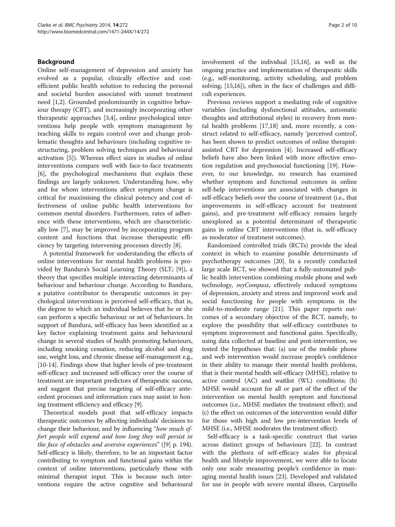# Background

Online self-management of depression and anxiety has evolved as a popular, clinically effective and costefficient public health solution to reducing the personal and societal burden associated with unmet treatment need [[1,2\]](#page-8-0). Grounded predominantly in cognitive behaviour therapy (CBT), and increasingly incorporating other therapeutic approaches [\[3,4](#page-8-0)], online psychological interventions help people with symptom management by teaching skills to regain control over and change problematic thoughts and behaviours (including cognitive restructuring, problem solving techniques and behavioural activation [\[5](#page-8-0)]). Whereas effect sizes in studies of online interventions compare well with face-to-face treatments [[6\]](#page-8-0), the psychological mechanisms that explain these findings are largely unknown. Understanding how, why and for whom interventions affect symptom change is critical for maximising the clinical potency and cost effectiveness of online public health interventions for common mental disorders. Furthermore, rates of adherence with these interventions, which are characteristically low [[7\]](#page-8-0), may be improved by incorporating program content and functions that increase therapeutic efficiency by targeting intervening processes directly [\[8](#page-8-0)].

A potential framework for understanding the effects of online interventions for mental health problems is provided by Bandura's Social Learning Theory (SLT; [[9\]](#page-8-0)), a theory that specifies multiple interacting determinants of behaviour and behaviour change. According to Bandura, a putative contributor to therapeutic outcomes in psychological interventions is perceived self-efficacy, that is, the degree to which an individual believes that he or she can perform a specific behaviour or set of behaviours. In support of Bandura, self-efficacy has been identified as a key factor explaining treatment gains and behavioural change in several studies of health promoting behaviours, including smoking cessation, reducing alcohol and drug use, weight loss, and chronic disease self-management e.g., [[10](#page-8-0)-[14](#page-8-0)]. Findings show that higher levels of pre-treatment self-efficacy and increased self-efficacy over the course of treatment are important predictors of therapeutic success, and suggest that precise targeting of self-efficacy antecedent processes and information cues may assist in honing treatment efficiency and efficacy [\[9\]](#page-8-0).

Theoretical models posit that self-efficacy impacts therapeutic outcomes by affecting individuals' decisions to change their behaviour, and by influencing "how much effort people will expend and how long they will persist in the face of obstacles and aversive experiences" ([[9](#page-8-0)] p. 194). Self-efficacy is likely, therefore, to be an important factor contributing to symptom and functional gains within the context of online interventions, particularly those with minimal therapist input. This is because such interventions require the active cognitive and behavioural involvement of the individual [\[15,16](#page-8-0)], as well as the ongoing practice and implementation of therapeutic skills (e.g., self-monitoring, activity scheduling, and problem solving; [\[15,16\]](#page-8-0)), often in the face of challenges and difficult experiences.

Previous reviews support a mediating role of cognitive variables (including dysfunctional attitudes, automatic thoughts and attributional styles) in recovery from mental health problems [[17,18\]](#page-8-0) and, more recently, a construct related to self-efficacy, namely 'perceived control', has been shown to predict outcomes of online therapistassisted CBT for depression [\[4](#page-8-0)]. Increased self-efficacy beliefs have also been linked with more effective emotion regulation and psychosocial functioning [[19](#page-8-0)]. However, to our knowledge, no research has examined whether symptom and functional outcomes in online self-help interventions are associated with changes in self-efficacy beliefs over the course of treatment (i.e., that improvements in self-efficacy account for treatment gains), and pre-treatment self-efficacy remains largely unexplored as a potential determinant of therapeutic gains in online CBT interventions (that is, self-efficacy as moderator of treatment outcomes).

Randomised controlled trials (RCTs) provide the ideal context in which to examine possible determinants of psychotherapy outcomes [[20\]](#page-8-0). In a recently conducted large scale RCT, we showed that a fully-automated public health intervention combining mobile phone and web technology,  $myCompass$ , effectively reduced symptoms of depression, anxiety and stress and improved work and social functioning for people with symptoms in the mild-to-moderate range [\[21\]](#page-8-0). This paper reports outcomes of a secondary objective of the RCT, namely, to explore the possibility that self-efficacy contributes to symptom improvement and functional gains. Specifically, using data collected at baseline and post-intervention, we tested the hypotheses that: (a) use of the mobile phone and web intervention would increase people's confidence in their ability to manage their mental health problems, that is their mental health self-efficacy (MHSE), relative to active control (AC) and waitlist (WL) conditions; (b) MHSE would account for all or part of the effect of the intervention on mental health symptom and functional outcomes (i.e., MHSE mediates the treatment effect); and (c) the effect on outcomes of the intervention would differ for those with high and low pre-intervention levels of MHSE (i.e., MHSE moderates the treatment effect).

Self-efficacy is a task-specific construct that varies across distinct groups of behaviours [[22](#page-8-0)]. In contrast with the plethora of self-efficacy scales for physical health and lifestyle improvement, we were able to locate only one scale measuring people's confidence in managing mental health issues [\[23](#page-8-0)]. Developed and validated for use in people with severe mental illness, Carpinello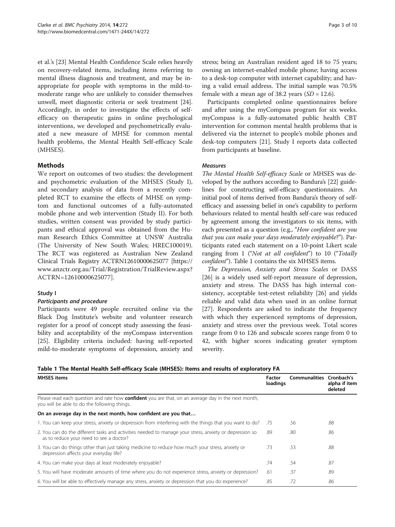<span id="page-2-0"></span>et al.'s [\[23](#page-8-0)] Mental Health Confidence Scale relies heavily on recovery-related items, including items referring to mental illness diagnosis and treatment, and may be inappropriate for people with symptoms in the mild-tomoderate range who are unlikely to consider themselves unwell, meet diagnostic criteria or seek treatment [\[24](#page-8-0)]. Accordingly, in order to investigate the effects of selfefficacy on therapeutic gains in online psychological interventions, we developed and psychometrically evaluated a new measure of MHSE for common mental health problems, the Mental Health Self-efficacy Scale (MHSES).

# Methods

We report on outcomes of two studies: the development and psychometric evaluation of the MHSES (Study I), and secondary analysis of data from a recently completed RCT to examine the effects of MHSE on symptom and functional outcomes of a fully-automated mobile phone and web intervention (Study II). For both studies, written consent was provided by study participants and ethical approval was obtained from the Human Research Ethics Committee at UNSW Australia (The University of New South Wales; HREC100019). The RCT was registered as Australian New Zealand Clinical Trials Registry ACTRN12610000625077 [\[https://](https://www.anzctr.org.au/Trial/Registration/TrialReview.aspx?ACTRN=12610000625077) [www.anzctr.org.au/Trial/Registration/TrialReview.aspx?](https://www.anzctr.org.au/Trial/Registration/TrialReview.aspx?ACTRN=12610000625077) [ACTRN=12610000625077](https://www.anzctr.org.au/Trial/Registration/TrialReview.aspx?ACTRN=12610000625077)].

# Study I

# Participants and procedure

Participants were 49 people recruited online via the Black Dog Institute's website and volunteer research register for a proof of concept study assessing the feasibility and acceptability of the myCompass intervention [[25\]](#page-8-0). Eligibility criteria included: having self-reported mild-to-moderate symptoms of depression, anxiety and stress; being an Australian resident aged 18 to 75 years; owning an internet-enabled mobile phone; having access to a desk-top computer with internet capability; and having a valid email address. The initial sample was 70.5% female with a mean age of 38.2 years  $(SD = 12.6)$ .

Participants completed online questionnaires before and after using the myCompass program for six weeks. myCompass is a fully-automated public health CBT intervention for common mental health problems that is delivered via the internet to people's mobile phones and desk-top computers [\[21](#page-8-0)]. Study I reports data collected from participants at baseline.

# Measures

The Mental Health Self-efficacy Scale or MHSES was developed by the authors according to Bandura's [[22](#page-8-0)] guidelines for constructing self-efficacy questionnaires. An initial pool of items derived from Bandura's theory of selfefficacy and assessing belief in one's capability to perform behaviours related to mental health self-care was reduced by agreement among the investigators to six items, with each presented as a question (e.g., "How confident are you that you can make your days moderately enjoyable?"). Participants rated each statement on a 10-point Likert scale ranging from 1 ("Not at all confident") to 10 ("Totally confident"). Table 1 contains the six MHSES items.

The Depression, Anxiety and Stress Scales or DASS [[26\]](#page-8-0) is a widely used self-report measure of depression, anxiety and stress. The DASS has high internal consistency, acceptable test-retest reliability [\[26](#page-8-0)] and yields reliable and valid data when used in an online format [[27\]](#page-8-0). Respondents are asked to indicate the frequency with which they experienced symptoms of depression, anxiety and stress over the previous week. Total scores range from 0 to 126 and subscale scores range from 0 to 42, with higher scores indicating greater symptom severity.

|  |  |  |  | Table 1 The Mental Health Self-efficacy Scale (MHSES): Items and results of exploratory FA |  |  |  |  |
|--|--|--|--|--------------------------------------------------------------------------------------------|--|--|--|--|
|--|--|--|--|--------------------------------------------------------------------------------------------|--|--|--|--|

| <b>MHSES items</b>                                                                                                                                  | Factor<br>loadings | <b>Communalities</b> | Cronbach's<br>alpha if item<br>deleted |
|-----------------------------------------------------------------------------------------------------------------------------------------------------|--------------------|----------------------|----------------------------------------|
| Please read each question and rate how confident you are that, on an average day in the next month,<br>you will be able to do the following things. |                    |                      |                                        |
| On an average day in the next month, how confident are you that                                                                                     |                    |                      |                                        |
| 1. You can keep your stress, anxiety or depression from interfering with the things that you want to do?                                            | .75                | .56                  | .88                                    |
| 2. You can do the different tasks and activities needed to manage your stress, anxiety or depression so<br>as to reduce your need to see a doctor?  | .89                | .80                  | .86                                    |
| 3. You can do things other than just taking medicine to reduce how much your stress, anxiety or<br>depression affects your everyday life?           | .73                | .53                  | .88                                    |
| 4. You can make your days at least moderately enjoyable?                                                                                            | .74                | .54                  | .87                                    |
| 5. You will have moderate amounts of time where you do not experience stress, anxiety or depression?                                                | .61                | .37                  | .89                                    |
| 6. You will be able to effectively manage any stress, anxiety or depression that you do experience?                                                 | .85                | .72                  | .86                                    |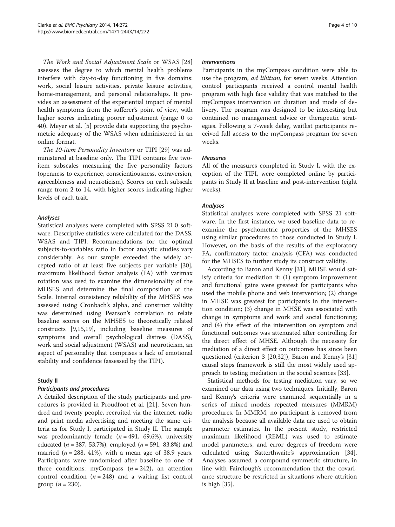The Work and Social Adjustment Scale or WSAS [[28](#page-8-0)] assesses the degree to which mental health problems interfere with day-to-day functioning in five domains: work, social leisure activities, private leisure activities, home-management, and personal relationships. It provides an assessment of the experiential impact of mental health symptoms from the sufferer's point of view, with higher scores indicating poorer adjustment (range 0 to 40). Meyer et al. [\[5\]](#page-8-0) provide data supporting the psychometric adequacy of the WSAS when administered in an online format.

The 10-item Personality Inventory or TIPI [\[29](#page-8-0)] was administered at baseline only. The TIPI contains five twoitem subscales measuring the five personality factors (openness to experience, conscientiousness, extraversion, agreeableness and neuroticism). Scores on each subscale range from 2 to 14, with higher scores indicating higher levels of each trait.

# Analyses

Statistical analyses were completed with SPSS 21.0 software. Descriptive statistics were calculated for the DASS, WSAS and TIPI. Recommendations for the optimal subjects-to-variables ratio in factor analytic studies vary considerably. As our sample exceeded the widely accepted ratio of at least five subjects per variable [\[30](#page-8-0)], maximum likelihood factor analysis (FA) with varimax rotation was used to examine the dimensionality of the MHSES and determine the final composition of the Scale. Internal consistency reliability of the MHSES was assessed using Cronbach's alpha, and construct validity was determined using Pearson's correlation to relate baseline scores on the MHSES to theoretically related constructs [[9,15,19\]](#page-8-0), including baseline measures of symptoms and overall psychological distress (DASS), work and social adjustment (WSAS) and neuroticism, an aspect of personality that comprises a lack of emotional stability and confidence (assessed by the TIPI).

# Study II

# Participants and procedures

A detailed description of the study participants and procedures is provided in Proudfoot et al. [[21](#page-8-0)]. Seven hundred and twenty people, recruited via the internet, radio and print media advertising and meeting the same criteria as for Study I, participated in Study II. The sample was predominantly female ( $n = 491, 69.6\%$ ), university educated ( $n = 387, 53.7\%$ ), employed ( $n = 591, 83.8\%$ ) and married ( $n = 288$ , 41%), with a mean age of 38.9 years. Participants were randomised after baseline to one of three conditions: myCompass  $(n = 242)$ , an attention control condition ( $n = 248$ ) and a waiting list control group  $(n = 230)$ .

#### Interventions

Participants in the myCompass condition were able to use the program, *ad libitum*, for seven weeks. Attention control participants received a control mental health program with high face validity that was matched to the myCompass intervention on duration and mode of delivery. The program was designed to be interesting but contained no management advice or therapeutic strategies. Following a 7-week delay, waitlist participants received full access to the myCompass program for seven weeks.

# Measures

All of the measures completed in Study I, with the exception of the TIPI, were completed online by participants in Study II at baseline and post-intervention (eight weeks).

# Analyses

Statistical analyses were completed with SPSS 21 software. In the first instance, we used baseline data to reexamine the psychometric properties of the MHSES using similar procedures to those conducted in Study I. However, on the basis of the results of the exploratory FA, confirmatory factor analysis (CFA) was conducted for the MHSES to further study its construct validity.

According to Baron and Kenny [\[31](#page-8-0)], MHSE would satisfy criteria for mediation if: (1) symptom improvement and functional gains were greatest for participants who used the mobile phone and web intervention; (2) change in MHSE was greatest for participants in the intervention condition; (3) change in MHSE was associated with change in symptoms and work and social functioning; and (4) the effect of the intervention on symptom and functional outcomes was attenuated after controlling for the direct effect of MHSE. Although the necessity for mediation of a direct effect on outcomes has since been questioned (criterion 3 [\[20](#page-8-0)[,32](#page-9-0)]), Baron and Kenny's [[31](#page-8-0)] causal steps framework is still the most widely used approach to testing mediation in the social sciences [[33\]](#page-9-0).

Statistical methods for testing mediation vary, so we examined our data using two techniques. Initially, Baron and Kenny's criteria were examined sequentially in a series of mixed models repeated measures (MMRM) procedures. In MMRM, no participant is removed from the analysis because all available data are used to obtain parameter estimates. In the present study, restricted maximum likelihood (REML) was used to estimate model parameters, and error degrees of freedom were calculated using Satterthwaite's approximation [\[34](#page-9-0)]. Analyses assumed a compound symmetric structure, in line with Fairclough's recommendation that the covariance structure be restricted in situations where attrition is high [[35\]](#page-9-0).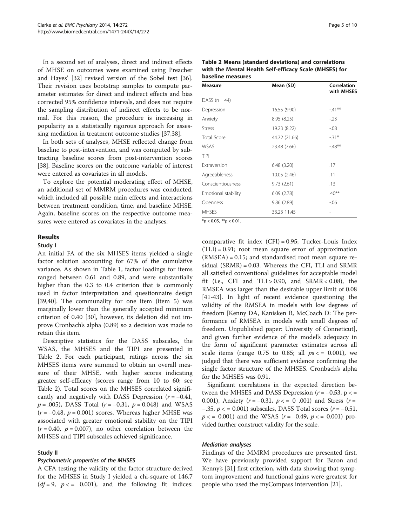In a second set of analyses, direct and indirect effects of MHSE on outcomes were examined using Preacher and Hayes' [[32\]](#page-9-0) revised version of the Sobel test [\[36](#page-9-0)]. Their revision uses bootstrap samples to compute parameter estimates for direct and indirect effects and bias corrected 95% confidence intervals, and does not require the sampling distribution of indirect effects to be normal. For this reason, the procedure is increasing in popularity as a statistically rigorous approach for assessing mediation in treatment outcome studies [[37,38\]](#page-9-0).

In both sets of analyses, MHSE reflected change from baseline to post-intervention, and was computed by subtracting baseline scores from post-intervention scores [[38\]](#page-9-0). Baseline scores on the outcome variable of interest were entered as covariates in all models.

To explore the potential moderating effect of MHSE, an additional set of MMRM procedures was conducted, which included all possible main effects and interactions between treatment condition, time, and baseline MHSE. Again, baseline scores on the respective outcome measures were entered as covariates in the analyses.

# Results

#### Study I

An initial FA of the six MHSES items yielded a single factor solution accounting for 67% of the cumulative variance. As shown in Table [1,](#page-2-0) factor loadings for items ranged between 0.61 and 0.89, and were substantially higher than the 0.3 to 0.4 criterion that is commonly used in factor interpretation and questionnaire design [[39,40\]](#page-9-0). The communality for one item (item 5) was marginally lower than the generally accepted minimum criterion of 0.40 [[30\]](#page-8-0), however, its deletion did not improve Cronbach's alpha (0.89) so a decision was made to retain this item.

Descriptive statistics for the DASS subscales, the WSAS, the MHSES and the TIPI are presented in Table 2. For each participant, ratings across the six MHSES items were summed to obtain an overall measure of their MHSE, with higher scores indicating greater self-efficacy (scores range from 10 to 60; see Table 2). Total scores on the MHSES correlated significantly and negatively with DASS Depression  $(r = -0.41,$  $p = .005$ ), DASS Total ( $r = -0.31$ ,  $p = 0.048$ ) and WSAS  $(r = -0.48, p = 0.001)$  scores. Whereas higher MHSE was associated with greater emotional stability on the TIPI  $(r = 0.40, p = 0.007)$ , no other correlation between the MHSES and TIPI subscales achieved significance.

# Study II

#### Psychometric properties of the MHSES

A CFA testing the validity of the factor structure derived for the MHSES in Study I yielded a chi-square of 146.7  $(df=9, p \le 0.001)$ , and the following fit indices:

| Table 2 Means (standard deviations) and correlations   |
|--------------------------------------------------------|
| with the Mental Health Self-efficacy Scale (MHSES) for |
| baseline measures                                      |

| Measure             | Mean (SD)     | Correlation<br>with MHSES |  |  |
|---------------------|---------------|---------------------------|--|--|
| DASS $(n = 44)$     |               |                           |  |  |
| Depression          | 16.55 (9.90)  | $-41**$                   |  |  |
| Anxiety             | 8.95 (8.25)   | $-23$                     |  |  |
| <b>Stress</b>       | 19.23 (8.22)  | $-0.08$                   |  |  |
| <b>Total Score</b>  | 44.72 (21.66) | $-31*$                    |  |  |
| <b>WSAS</b>         | 23.48 (7.66)  | $-48**$                   |  |  |
| <b>TIPI</b>         |               |                           |  |  |
| Extraversion        | 6.48(3.20)    | .17                       |  |  |
| Agreeableness       | 10.05 (2.46)  | .11                       |  |  |
| Conscientiousness   | 9.73(2.61)    | .13                       |  |  |
| Emotional stability | 6.09(2.78)    | $.40**$                   |  |  |
| Openness            | 9.86 (2.89)   | $-06$                     |  |  |
| <b>MHSES</b>        | 33.23 11.45   |                           |  |  |

 $*p < 0.05, **p < 0.01.$ 

comparative fit index  $(CFI) = 0.95$ ; Tucker-Louis Index  $(TLI) = 0.91$ ; root mean square error of approximation (RMSEA) = 0.15; and standardised root mean square residual (SRMR) = 0.03. Whereas the CFI, TLI and SRMR all satisfied conventional guidelines for acceptable model fit (i.e., CFI and  $TLI > 0.90$ , and  $SRMR < 0.08$ ), the RMSEA was larger than the desirable upper limit of 0.08 [[41-43](#page-9-0)]. In light of recent evidence questioning the validity of the RMSEA in models with low degrees of freedom [Kenny DA, Kanisken B, McCoach D: The performance of RMSEA in models with small degrees of freedom. Unpublished paper: University of Conneticut], and given further evidence of the model's adequacy in the form of significant parameter estimates across all scale items (range  $0.75$  to  $0.85$ ; all  $ps \le 0.001$ ), we judged that there was sufficient evidence confirming the single factor structure of the MHSES. Cronbach's alpha for the MHSES was 0.91.

Significant correlations in the expected direction between the MHSES and DASS Depression  $(r = -0.53, p <$ 0.001), Anxiety ( $r = -0.31$ ,  $p \le 0.001$ ) and Stress ( $r =$  $-0.35$ ,  $p < 0.001$ ) subscales, DASS Total scores ( $r = -0.51$ ,  $p \le 0.001$ ) and the WSAS (r = -0.49,  $p \le 0.001$ ) provided further construct validity for the scale.

#### Mediation analyses

Findings of the MMRM procedures are presented first. We have previously provided support for Baron and Kenny's [\[31\]](#page-8-0) first criterion, with data showing that symptom improvement and functional gains were greatest for people who used the myCompass intervention [\[21](#page-8-0)].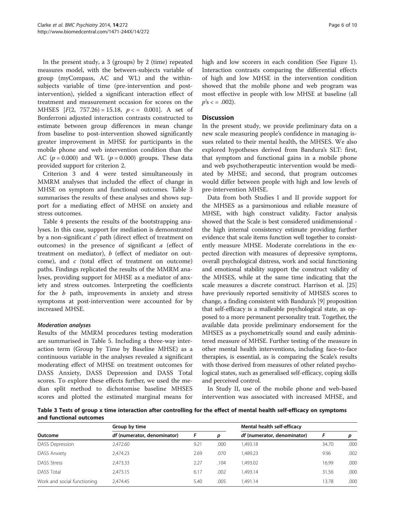In the present study, a 3 (groups) by 2 (time) repeated measures model, with the between-subjects variable of group (myCompass, AC and WL) and the withinsubjects variable of time (pre-intervention and postintervention), yielded a significant interaction effect of treatment and measurement occasion for scores on the MHSES  $[F(2, 757.26) = 15.18, p \le 0.001]$ . A set of Bonferroni adjusted interaction contrasts constructed to estimate between group differences in mean change from baseline to post-intervention showed significantly greater improvement in MHSE for participants in the mobile phone and web intervention condition than the AC ( $p = 0.000$ ) and WL ( $p = 0.000$ ) groups. These data provided support for criterion 2.

Criterion 3 and 4 were tested simultaneously in MMRM analyses that included the effect of change in MHSE on symptom and functional outcomes. Table 3 summarises the results of these analyses and shows support for a mediating effect of MHSE on anxiety and stress outcomes.

Table [4](#page-6-0) presents the results of the bootstrapping analyses. In this case, support for mediation is demonstrated by a non-significant  $c'$  path (direct effect of treatment on outcomes) in the presence of significant  $a$  (effect of treatment on mediator), b (effect of mediator on outcome), and c (total effect of treatment on outcome) paths. Findings replicated the results of the MMRM analyses, providing support for MHSE as a mediator of anxiety and stress outcomes. Interpreting the coefficients for the  $b$  path, improvements in anxiety and stress symptoms at post-intervention were accounted for by increased MHSE.

# Moderation analyses

Results of the MMRM procedures testing moderation are summarised in Table [5](#page-6-0). Including a three-way interaction term (Group by Time by Baseline MHSE) as a continuous variable in the analyses revealed a significant moderating effect of MHSE on treatment outcomes for DASS Anxiety, DASS Depression and DASS Total scores. To explore these effects further, we used the median split method to dichotomise baseline MHSES scores and plotted the estimated marginal means for high and low scorers in each condition (See Figure [1](#page-7-0)). Interaction contrasts comparing the differential effects of high and low MHSE in the intervention condition showed that the mobile phone and web program was most effective in people with low MHSE at baseline (all  $p's < = .002$ ).

# **Discussion**

In the present study, we provide preliminary data on a new scale measuring people's confidence in managing issues related to their mental health, the MHSES. We also explored hypotheses derived from Bandura's SLT: first, that symptom and functional gains in a mobile phone and web psychotherapeutic intervention would be mediated by MHSE; and second, that program outcomes would differ between people with high and low levels of pre-intervention MHSE.

Data from both Studies I and II provide support for the MHSES as a parsimonious and reliable measure of MHSE, with high construct validity. Factor analysis showed that the Scale is best considered unidimensional the high internal consistency estimate providing further evidence that scale items function well together to consistently measure MHSE. Moderate correlations in the expected direction with measures of depressive symptoms, overall psychological distress, work and social functioning and emotional stability support the construct validity of the MHSES, while at the same time indicating that the scale measures a discrete construct. Harrison et al. [[25](#page-8-0)] have previously reported sensitivity of MHSES scores to change, a finding consistent with Bandura's [\[9](#page-8-0)] proposition that self-efficacy is a malleable psychological state, as opposed to a more permanent personality trait. Together, the available data provide preliminary endorsement for the MHSES as a psychometrically sound and easily administered measure of MHSE. Further testing of the measure in other mental health interventions, including face-to-face therapies, is essential, as is comparing the Scale's results with those derived from measures of other related psychological states, such as generalised self-efficacy, coping skills and perceived control.

In Study II, use of the mobile phone and web-based intervention was associated with increased MHSE, and

Table 3 Tests of group x time interaction after controlling for the effect of mental health self-efficacy on symptoms and functional outcomes

|                             | Group by time               |      | Mental health self-efficacy |                             |       |      |
|-----------------------------|-----------------------------|------|-----------------------------|-----------------------------|-------|------|
| Outcome                     | df (numerator, denominator) | F    | D                           | df (numerator, denominator) | F     |      |
| <b>DASS Depression</b>      | 2,472.60                    | 9.21 | .000                        | 1,493.18                    | 34.70 | .000 |
| <b>DASS Anxiety</b>         | 2,474.23                    | 2.69 | .070                        | 1.489.23                    | 9.96  | .002 |
| <b>DASS Stress</b>          | 2,473.33                    | 2.27 | .104                        | 1.493.02                    | 16.99 | .000 |
| <b>DASS Total</b>           | 2,473.15                    | 6.17 | .002                        | 1.493.14                    | 31.56 | .000 |
| Work and social functioning | 2.474.45                    | 5.40 | .005                        | 1.491.14                    | 13.78 | .000 |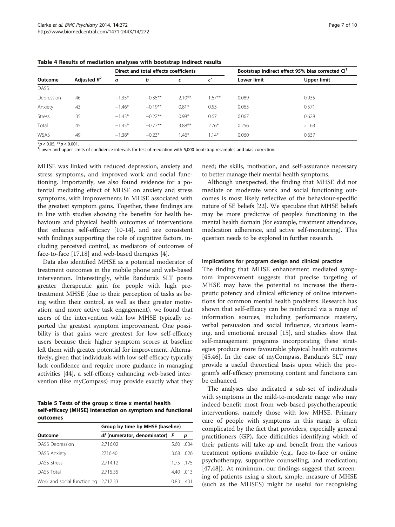|               |                | Direct and total effects coefficients |           |           |          | Bootstrap indirect effect 95% bias corrected Cl <sup>+</sup> |             |  |
|---------------|----------------|---------------------------------------|-----------|-----------|----------|--------------------------------------------------------------|-------------|--|
| Outcome       | Adjusted $R^2$ | a                                     | b         | C         |          | <b>Lower limit</b>                                           | Upper limit |  |
| DASS          |                |                                       |           |           |          |                                                              |             |  |
| Depression    | .46            | $-1.35*$                              | $-0.35**$ | $2.10***$ | $.67***$ | 0.089                                                        | 0.935       |  |
| Anxiety       | .43            | $-1.46*$                              | $-0.19**$ | $0.81*$   | 0.53     | 0.063                                                        | 0.571       |  |
| <b>Stress</b> | .35            | $-1.43*$                              | $-0.22**$ | $0.98*$   | 0.67     | 0.067                                                        | 0.628       |  |
| Total         | .45            | $-1.45*$                              | $-0.77**$ | $3.88***$ | $2.76*$  | 0.256                                                        | 2.163       |  |
| <b>WSAS</b>   | .49            | $-1.38*$                              | $-0.23*$  | $1.46*$   | $.14*$   | 0.060                                                        | 0.637       |  |

<span id="page-6-0"></span>Table 4 Results of mediation analyses with bootstrap indirect results

 $*<sub>p</sub> < 0.05$ ,  $**<sub>p</sub> < 0.001$ .

 $<sup>†</sup>$ Lower and upper limits of confidence intervals for test of mediation with 5.000 bootstrap resamples and bias correction.</sup>

MHSE was linked with reduced depression, anxiety and stress symptoms, and improved work and social functioning. Importantly, we also found evidence for a potential mediating effect of MHSE on anxiety and stress symptoms, with improvements in MHSE associated with the greatest symptom gains. Together, these findings are in line with studies showing the benefits for health behaviours and physical health outcomes of interventions that enhance self-efficacy [\[10-14](#page-8-0)], and are consistent with findings supporting the role of cognitive factors, including perceived control, as mediators of outcomes of face-to-face [\[17,18](#page-8-0)] and web-based therapies [\[4](#page-8-0)].

Data also identified MHSE as a potential moderator of treatment outcomes in the mobile phone and web-based intervention. Interestingly, while Bandura's SLT posits greater therapeutic gain for people with high pretreatment MHSE (due to their perception of tasks as being within their control, as well as their greater motivation, and more active task engagement), we found that users of the intervention with low MHSE typically reported the greatest symptom improvement. One possibility is that gains were greatest for low self-efficacy users because their higher symptom scores at baseline left them with greater potential for improvement. Alternatively, given that individuals with low self-efficacy typically lack confidence and require more guidance in managing activities [[44](#page-9-0)], a self-efficacy enhancing web-based intervention (like myCompass) may provide exactly what they

Table 5 Tests of the group x time x mental health self-efficacy (MHSE) interaction on symptom and functional outcomes

|                                      | Group by time by MHSE (baseline) |          |           |  |  |  |  |
|--------------------------------------|----------------------------------|----------|-----------|--|--|--|--|
| Outcome                              | df (numerator, denominator) F    |          | p         |  |  |  |  |
| <b>DASS Depression</b>               | 2,716.02                         |          | 5.60 .004 |  |  |  |  |
| <b>DASS Anxiety</b>                  | 2716.40                          |          | 3.68 .026 |  |  |  |  |
| <b>DASS Stress</b>                   | 2.714.12                         |          | 1.75 1.75 |  |  |  |  |
| <b>DASS Total</b>                    | 2,715.55                         |          | 4.40 .013 |  |  |  |  |
| Work and social functioning 2,717.33 |                                  | 0.83 431 |           |  |  |  |  |

need; the skills, motivation, and self-assurance necessary to better manage their mental health symptoms.

Although unexpected, the finding that MHSE did not mediate or moderate work and social functioning outcomes is most likely reflective of the behaviour-specific nature of SE beliefs [\[22](#page-8-0)]. We speculate that MHSE beliefs may be more predictive of people's functioning in the mental health domain (for example, treatment attendance, medication adherence, and active self-monitoring). This question needs to be explored in further research.

#### Implications for program design and clinical practice

The finding that MHSE enhancement mediated symptom improvement suggests that precise targeting of MHSE may have the potential to increase the therapeutic potency and clinical efficiency of online interventions for common mental health problems. Research has shown that self-efficacy can be reinforced via a range of information sources, including performance mastery, verbal persuasion and social influence, vicarious learning, and emotional arousal [[15](#page-8-0)], and studies show that self-management programs incorporating these strategies produce more favourable physical health outcomes [[45,46\]](#page-9-0). In the case of myCompass, Bandura's SLT may provide a useful theoretical basis upon which the program's self-efficacy promoting content and functions can be enhanced.

The analyses also indicated a sub-set of individuals with symptoms in the mild-to-moderate range who may indeed benefit most from web-based psychotherapeutic interventions, namely those with low MHSE. Primary care of people with symptoms in this range is often complicated by the fact that providers, especially general practitioners (GP), face difficulties identifying which of their patients will take-up and benefit from the various treatment options available (e.g., face-to-face or online psychotherapy, supportive counselling, and medication; [[47,48\]](#page-9-0)). At minimum, our findings suggest that screening of patients using a short, simple, measure of MHSE (such as the MHSES) might be useful for recognising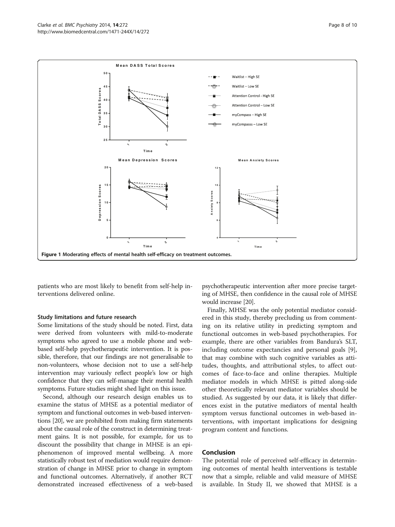<span id="page-7-0"></span>

patients who are most likely to benefit from self-help interventions delivered online.

#### Study limitations and future research

Some limitations of the study should be noted. First, data were derived from volunteers with mild-to-moderate symptoms who agreed to use a mobile phone and webbased self-help psychotherapeutic intervention. It is possible, therefore, that our findings are not generalisable to non-volunteers, whose decision not to use a self-help intervention may variously reflect people's low or high confidence that they can self-manage their mental health symptoms. Future studies might shed light on this issue.

Second, although our research design enables us to examine the status of MHSE as a potential mediator of symptom and functional outcomes in web-based interventions [\[20\]](#page-8-0), we are prohibited from making firm statements about the causal role of the construct in determining treatment gains. It is not possible, for example, for us to discount the possibility that change in MHSE is an epiphenomenon of improved mental wellbeing. A more statistically robust test of mediation would require demonstration of change in MHSE prior to change in symptom and functional outcomes. Alternatively, if another RCT demonstrated increased effectiveness of a web-based

psychotherapeutic intervention after more precise targeting of MHSE, then confidence in the causal role of MHSE would increase [\[20\]](#page-8-0).

Finally, MHSE was the only potential mediator considered in this study, thereby precluding us from commenting on its relative utility in predicting symptom and functional outcomes in web-based psychotherapies. For example, there are other variables from Bandura's SLT, including outcome expectancies and personal goals [\[9](#page-8-0)], that may combine with such cognitive variables as attitudes, thoughts, and attributional styles, to affect outcomes of face-to-face and online therapies. Multiple mediator models in which MHSE is pitted along-side other theoretically relevant mediator variables should be studied. As suggested by our data, it is likely that differences exist in the putative mediators of mental health symptom versus functional outcomes in web-based interventions, with important implications for designing program content and functions.

## Conclusion

The potential role of perceived self-efficacy in determining outcomes of mental health interventions is testable now that a simple, reliable and valid measure of MHSE is available. In Study II, we showed that MHSE is a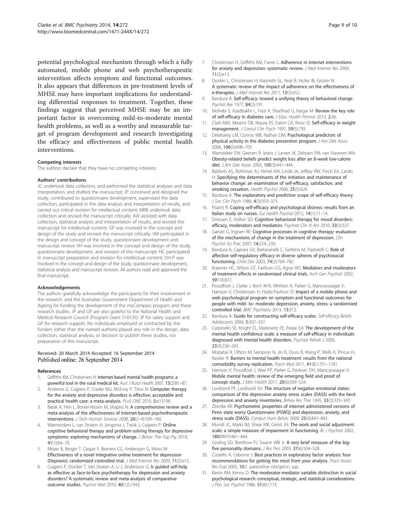<span id="page-8-0"></span>potential psychological mechanism through which a fully automated, mobile phone and web psychotherapeutic intervention affects symptom and functional outcomes. It also appears that differences in pre-treatment levels of MHSE may have important implications for understanding differential responses to treatment. Together, these findings suggest that perceived MHSE may be an important factor in overcoming mild-to-moderate mental health problems, as well as a worthy and measurable target of program development and research investigating the efficacy and effectiveness of public mental health interventions.

#### Competing interests

The authors declare that they have no competing interests.

#### Authors' contributions

JC undertook data collection, and performed the statistical analyses and data interpretation, and drafted the manuscript; JP conceived and designed the study, contributed to questionnaire development, supervised the data collection, participated in the data analysis and interpretation of results, and carried out critical revision for intellectual content; MRB undertook data collection and revised the manuscript critically; AW assisted with data collection, statistical analysis and interpretation of results, and revised the manuscript for intellectual content; GP was involved in the concept and design of the study and revised the manuscript critically; VM participated in the design and concept of the study, questionnaire development and manuscript review; VH was involved in the concept and design of the study, questionnaire development, and revision of the manuscript; HC participated in manuscript preparation and revision for intellectual content; DH-P was involved in the concept and design of the study, questionnaire development, statistical analysis and manuscript revision. All authors read and approved the final manuscript.

#### Acknowledgements

The authors gratefully acknowledge the participants for their involvement in the research, and the Australian Government Department of Health and Ageing for funding the development of the myCompass program and these research studies. JP and GP are also grateful to the National Health and Medical Research Council (Program Grant 510135): JP for salary support and GP for research support. No individuals employed or contracted by the funders (other than the named authors) played any role in the design, data collection, statistical analysis, or decision to publish these studies, nor preparation of this manuscript.

#### Received: 20 March 2014 Accepted: 16 September 2014 Published online: 26 September 2014

#### References

- Griffiths KM, Christensen H: Internet-based mental health programs: a powerful tool in the rural medical kit. Aust J Rural Health 2007, 15(2):81-87.
- Andrews G, Cuijpers P, Craske MG, McEvoy P, Titov N: Computer therapy for the anxiety and depressive disorders is effective, acceptable and practical health care: a meta-analysis. PLoS ONE 2010, 5:e13196.
- Barak A, Hen L, Boniel-Nissim M, Shapira N: A comprehensive review and a meta-analysis of the effectiveness of internet-based psychotherapeutic interventions. J Tech Human Services 2008, 26(2–4):109–160.
- Warmerdam L, van Straten A, Jongsma J, Twisk J, Cuijpers P: Online cognitive behavioral therapy and problem-solving therapy for depressive symptoms: exploring mechanisms of change. J Behav Ther Exp Psy 2010, 41(1):64–70.
- Meyer B, Berger T, Caspar F, Beevers CG, Andersson G, Weiss M: Effectiveness of a novel integrative online treatment for depression (Deprexis): randomized controlled trial. J Med Internet Res 2009, 11(2):e15.
- Cuijpers P, Donker T, Van Straten A, Li J, Andersson G: Is guided self-help as effective as face-to-face psychotherapy for depression and anxiety disorders? A systematic review and meta-analysis of comparative outcome studies. Psychol Med 2010, 40(12):1943.
- 7. Christensen H, Griffiths KM, Farrer L: Adherence in Internet interventions for anxiety and depression: systematic review. J Med Internet Res 2009,  $11(2)$ : $e13$
- 8. Donkin L, Christensen H, Naismith SL, Neal B, Hickie IB, Glozier N: A systematic review of the impact of adherence on the effectiveness of e-therapies. J Med Internet Res 2011, 13(3):e52.
- 9. Bandura A: Self-efficacy: toward a unifying theory of behavioral change. Psychol Rev 1977, 84(2):191.
- 10. Mohebi S, Azadbakht L, Feizi A, Sharifirad G, Kargar M: Review the key role of self-efficacy in diabetes care. J Educ Health Promot 2013, 2:36.
- 11. Clark MM, Abrams DB, Niaura RS, Eaton CA, Rossi JS: Self-efficacy in weight management. J Consul Clin Psych 1991, 59(5):739.
- 12. Delahanty LM, Conroy MB, Nathan DM: Psychological predictors of physical activity in the diabetes prevention program. J Am Diet Assoc 2006, 106(5):698–705.
- 13. Wamsteker EW, Geenen R, Iestra J, Larsen JK, Zelissen PM, van Staveren WA: Obesity-related beliefs predict weight loss after an 8-week low-calorie diet. J Am Diet Assoc 2005, 105(3):441-444.
- 14. Baldwin AS, Rothman AJ, Hertel AW, Linde JA, Jeffery RW, Finch EA, Lando H: Specifying the determinants of the initiation and maintenance of behavior change: an examination of self-efficacy, satisfaction, and smoking cessation. Health Psychol 2006, 25(5):626.
- 15. Bandura A: The explanatory and predictive scope of self-efficacy theory. J Soc Clin Psych 1986, 4(3):359–373.
- 16. Pisanti R: Coping self-efficacy and psychological distress: results from an Italian study on nurses. Eur Health Psychol 2012, 14(1):11–14.
- 17. Driessen E, Hollon SD: Cognitive behavioral therapy for mood disorders: efficacy, moderators and mediators. Psychiat Clin N Am 2010, 33(3):537.
- 18. Garratt G, Ingram RE: Cognitive processes in cognitive therapy: evaluation of the mechanisms of change in the treatment of depression. Clin Psychol Sci Prac 2007, 14:224–239.
- 19. Bandura A, Caprara GV, Barbaranelli C, Gerbino M, Pastorelli C: Role of affective self-regulatory efficacy in diverse spheres of psychosocial functioning. Child Dev 2003, 74(3):769–782.
- 20. Kraemer HC, Wilson GT, Fairburn CG, Agras WS: Mediators and moderators of treatment effects in randomized clinical trials. Arch Gen Psychiat 2002, 59(10):877.
- 21. Proudfoot J, Clarke J, Birch M-R, Whitton A, Parker G, Manicavasagar V, Harrison V, Christensen H, Hadzi-Pavlovic D; Impact of a mobile phone and web psychological program on symptom and functional outcomes for people with mild- to- moderate depression, anxiety, stress: a randomised controlled trial. BMC Psychiatry 2013, 13:312.
- 22. Bandura A: Guide for constructing self-efficacy scales. Self-efficacy Beliefs Adolescents 2006, 5:307–337.
- 23. Carpinello SE, Knight EL, Markowitz FE, Pease EA: The development of the mental health confidence scale: a measure of self-efficacy in individuals diagnosed with mental health disorders. Psychiat Rehab J 2000, 23(3):236–243.
- 24. Mojtabai R, Olfson M, Sampson N, Jin R, Druss B, Wang P, Wells K, Pincus H, Kessler R: Barriers to mental health treatment: results from the national comorbidity survey replication. Psych Med 2011, 41(8):1751–1761.
- 25. Harrison V, Proudfoot J, Wee PP, Parker G, Pavlovic DH, Manicavasagar V: Mobile mental health: review of the emerging field and proof of concept study. J Men Health 2011, 20(6):509–524.
- 26. Lovibond PF, Lovibond SH: The structure of negative emotional states: comparison of the depression anxiety stress scales (DASS) with the beck depression and anxiety inventories. Behav Res Ther 1995, 33(3):335–343.
- 27. Zlomke KR: Psychometric properties of internet administered versions of Penn state worry Questionnaire (PSWQ) and depression, anxiety, and stress scale (DASS). Comput Hum Behav 2009, 25(4):841–843.
- 28. Mundt JC, Marks IM, Shear MK, Greist JH: The work and social adjustment scale: a simple measure of impairment in functioning. Br J Psychiat 2002, 180(MAY):461–464.
- 29. Gosling SD, Rentfrow PJ, Swann WB Jr: A very brief measure of the bigfive personality domains. J Res Pers 2003, 37(6):504–528.
- 30. Costello A, Osborne J: Best practices in exploratory factor analysis: four recommendations for getting the most from your analysis. Pract Assess Res Eval 2005, 10:7. pareonline net/getvn, asp.
- 31. Baron RM, Kenny D: The moderator-mediator variable distinction in social psychological research: conceptual, strategic, and statistical considerations. J Pers Soc Psychol 1986, 51(6):1173.